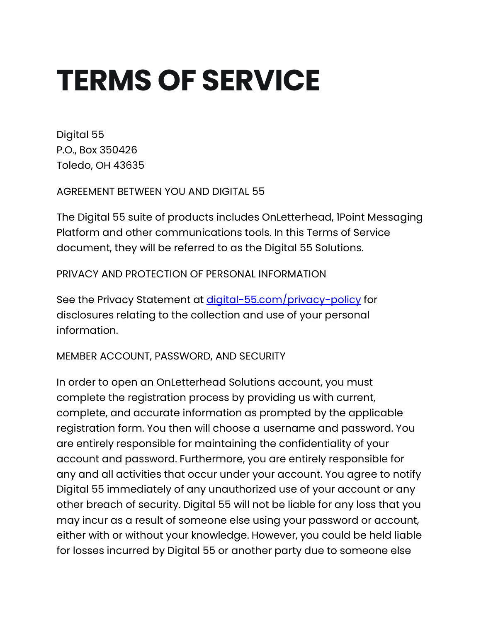# **TERMS OF SERVICE**

Digital 55 P.O., Box 350426 Toledo, OH 43635

AGREEMENT BETWEEN YOU AND DIGITAL 55

The Digital 55 suite of products includes OnLetterhead, 1Point Messaging Platform and other communications tools. In this Terms of Service document, they will be referred to as the Digital 55 Solutions.

PRIVACY AND PROTECTION OF PERSONAL INFORMATION

See the Privacy Statement at *[digital-55.com/privacy-policy](https://digital-55.com/privacy-policy)* for disclosures relating to the collection and use of your personal information.

MEMBER ACCOUNT, PASSWORD, AND SECURITY

In order to open an OnLetterhead Solutions account, you must complete the registration process by providing us with current, complete, and accurate information as prompted by the applicable registration form. You then will choose a username and password. You are entirely responsible for maintaining the confidentiality of your account and password. Furthermore, you are entirely responsible for any and all activities that occur under your account. You agree to notify Digital 55 immediately of any unauthorized use of your account or any other breach of security. Digital 55 will not be liable for any loss that you may incur as a result of someone else using your password or account, either with or without your knowledge. However, you could be held liable for losses incurred by Digital 55 or another party due to someone else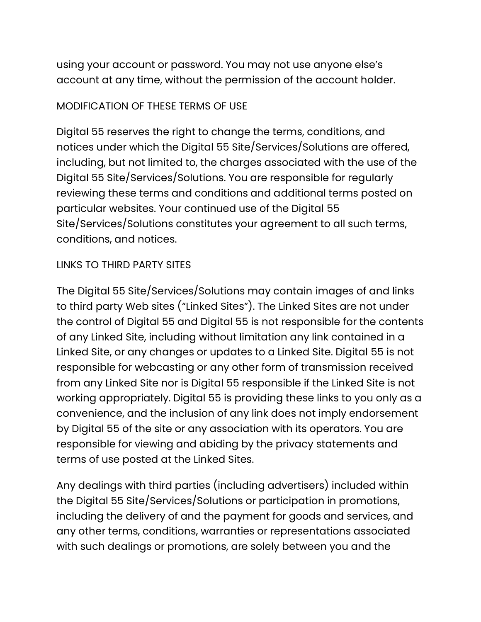using your account or password. You may not use anyone else's account at any time, without the permission of the account holder.

#### MODIFICATION OF THESE TERMS OF USE

Digital 55 reserves the right to change the terms, conditions, and notices under which the Digital 55 Site/Services/Solutions are offered, including, but not limited to, the charges associated with the use of the Digital 55 Site/Services/Solutions. You are responsible for regularly reviewing these terms and conditions and additional terms posted on particular websites. Your continued use of the Digital 55 Site/Services/Solutions constitutes your agreement to all such terms, conditions, and notices.

#### LINKS TO THIRD PARTY SITES

The Digital 55 Site/Services/Solutions may contain images of and links to third party Web sites ("Linked Sites"). The Linked Sites are not under the control of Digital 55 and Digital 55 is not responsible for the contents of any Linked Site, including without limitation any link contained in a Linked Site, or any changes or updates to a Linked Site. Digital 55 is not responsible for webcasting or any other form of transmission received from any Linked Site nor is Digital 55 responsible if the Linked Site is not working appropriately. Digital 55 is providing these links to you only as a convenience, and the inclusion of any link does not imply endorsement by Digital 55 of the site or any association with its operators. You are responsible for viewing and abiding by the privacy statements and terms of use posted at the Linked Sites.

Any dealings with third parties (including advertisers) included within the Digital 55 Site/Services/Solutions or participation in promotions, including the delivery of and the payment for goods and services, and any other terms, conditions, warranties or representations associated with such dealings or promotions, are solely between you and the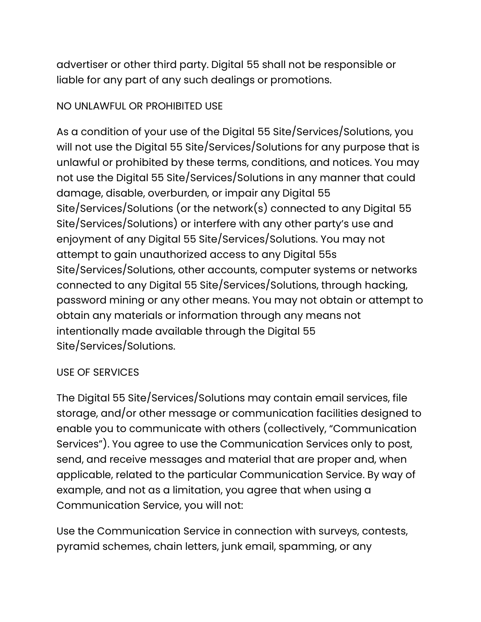advertiser or other third party. Digital 55 shall not be responsible or liable for any part of any such dealings or promotions.

## NO UNLAWFUL OR PROHIBITED USE

As a condition of your use of the Digital 55 Site/Services/Solutions, you will not use the Digital 55 Site/Services/Solutions for any purpose that is unlawful or prohibited by these terms, conditions, and notices. You may not use the Digital 55 Site/Services/Solutions in any manner that could damage, disable, overburden, or impair any Digital 55 Site/Services/Solutions (or the network(s) connected to any Digital 55 Site/Services/Solutions) or interfere with any other party's use and enjoyment of any Digital 55 Site/Services/Solutions. You may not attempt to gain unauthorized access to any Digital 55s Site/Services/Solutions, other accounts, computer systems or networks connected to any Digital 55 Site/Services/Solutions, through hacking, password mining or any other means. You may not obtain or attempt to obtain any materials or information through any means not intentionally made available through the Digital 55 Site/Services/Solutions.

## USE OF SERVICES

The Digital 55 Site/Services/Solutions may contain email services, file storage, and/or other message or communication facilities designed to enable you to communicate with others (collectively, "Communication Services"). You agree to use the Communication Services only to post, send, and receive messages and material that are proper and, when applicable, related to the particular Communication Service. By way of example, and not as a limitation, you agree that when using a Communication Service, you will not:

Use the Communication Service in connection with surveys, contests, pyramid schemes, chain letters, junk email, spamming, or any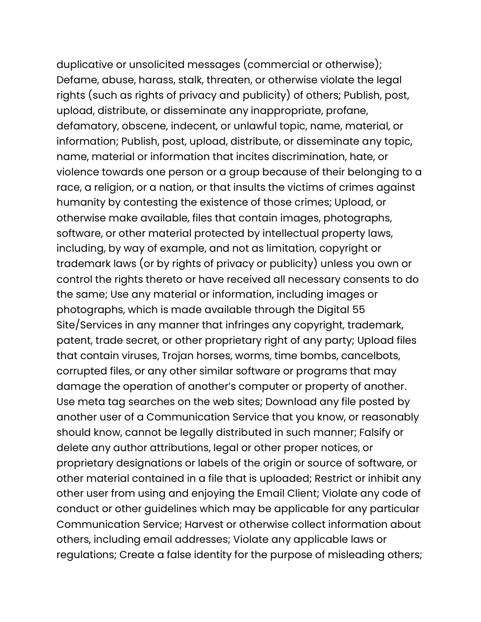duplicative or unsolicited messages (commercial or otherwise); Defame, abuse, harass, stalk, threaten, or otherwise violate the legal rights (such as rights of privacy and publicity) of others; Publish, post, upload, distribute, or disseminate any inappropriate, profane, defamatory, obscene, indecent, or unlawful topic, name, material, or information; Publish, post, upload, distribute, or disseminate any topic, name, material or information that incites discrimination, hate, or violence towards one person or a group because of their belonging to a race, a religion, or a nation, or that insults the victims of crimes against humanity by contesting the existence of those crimes; Upload, or otherwise make available, files that contain images, photographs, software, or other material protected by intellectual property laws, including, by way of example, and not as limitation, copyright or trademark laws (or by rights of privacy or publicity) unless you own or control the rights thereto or have received all necessary consents to do the same; Use any material or information, including images or photographs, which is made available through the Digital 55 Site/Services in any manner that infringes any copyright, trademark, patent, trade secret, or other proprietary right of any party; Upload files that contain viruses, Trojan horses, worms, time bombs, cancelbots, corrupted files, or any other similar software or programs that may damage the operation of another's computer or property of another. Use meta tag searches on the web sites; Download any file posted by another user of a Communication Service that you know, or reasonably should know, cannot be legally distributed in such manner; Falsify or delete any author attributions, legal or other proper notices, or proprietary designations or labels of the origin or source of software, or other material contained in a file that is uploaded; Restrict or inhibit any other user from using and enjoying the Email Client; Violate any code of conduct or other guidelines which may be applicable for any particular Communication Service; Harvest or otherwise collect information about others, including email addresses; Violate any applicable laws or regulations; Create a false identity for the purpose of misleading others;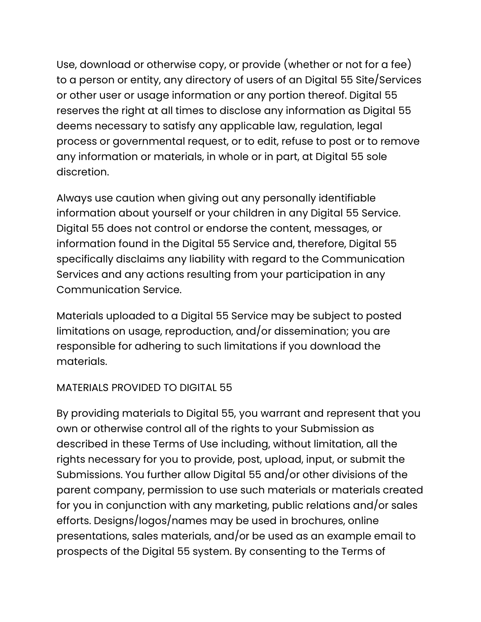Use, download or otherwise copy, or provide (whether or not for a fee) to a person or entity, any directory of users of an Digital 55 Site/Services or other user or usage information or any portion thereof. Digital 55 reserves the right at all times to disclose any information as Digital 55 deems necessary to satisfy any applicable law, regulation, legal process or governmental request, or to edit, refuse to post or to remove any information or materials, in whole or in part, at Digital 55 sole discretion.

Always use caution when giving out any personally identifiable information about yourself or your children in any Digital 55 Service. Digital 55 does not control or endorse the content, messages, or information found in the Digital 55 Service and, therefore, Digital 55 specifically disclaims any liability with regard to the Communication Services and any actions resulting from your participation in any Communication Service.

Materials uploaded to a Digital 55 Service may be subject to posted limitations on usage, reproduction, and/or dissemination; you are responsible for adhering to such limitations if you download the materials.

## MATERIALS PROVIDED TO DIGITAL 55

By providing materials to Digital 55, you warrant and represent that you own or otherwise control all of the rights to your Submission as described in these Terms of Use including, without limitation, all the rights necessary for you to provide, post, upload, input, or submit the Submissions. You further allow Digital 55 and/or other divisions of the parent company, permission to use such materials or materials created for you in conjunction with any marketing, public relations and/or sales efforts. Designs/logos/names may be used in brochures, online presentations, sales materials, and/or be used as an example email to prospects of the Digital 55 system. By consenting to the Terms of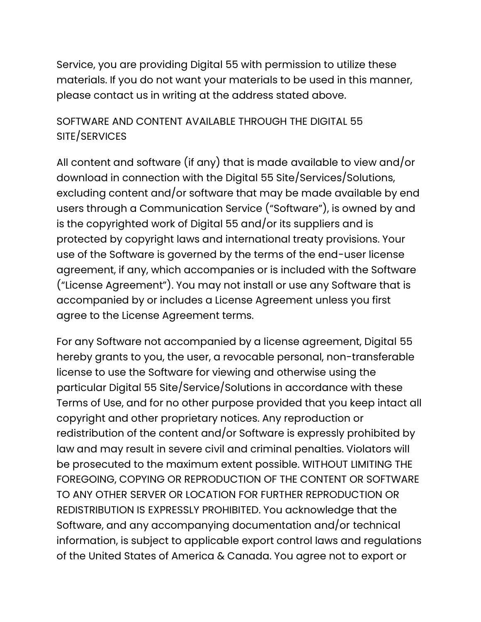Service, you are providing Digital 55 with permission to utilize these materials. If you do not want your materials to be used in this manner, please contact us in writing at the address stated above.

# SOFTWARE AND CONTENT AVAILABLE THROUGH THE DIGITAL 55 SITE/SERVICES

All content and software (if any) that is made available to view and/or download in connection with the Digital 55 Site/Services/Solutions, excluding content and/or software that may be made available by end users through a Communication Service ("Software"), is owned by and is the copyrighted work of Digital 55 and/or its suppliers and is protected by copyright laws and international treaty provisions. Your use of the Software is governed by the terms of the end-user license agreement, if any, which accompanies or is included with the Software ("License Agreement"). You may not install or use any Software that is accompanied by or includes a License Agreement unless you first agree to the License Agreement terms.

For any Software not accompanied by a license agreement, Digital 55 hereby grants to you, the user, a revocable personal, non-transferable license to use the Software for viewing and otherwise using the particular Digital 55 Site/Service/Solutions in accordance with these Terms of Use, and for no other purpose provided that you keep intact all copyright and other proprietary notices. Any reproduction or redistribution of the content and/or Software is expressly prohibited by law and may result in severe civil and criminal penalties. Violators will be prosecuted to the maximum extent possible. WITHOUT LIMITING THE FOREGOING, COPYING OR REPRODUCTION OF THE CONTENT OR SOFTWARE TO ANY OTHER SERVER OR LOCATION FOR FURTHER REPRODUCTION OR REDISTRIBUTION IS EXPRESSLY PROHIBITED. You acknowledge that the Software, and any accompanying documentation and/or technical information, is subject to applicable export control laws and regulations of the United States of America & Canada. You agree not to export or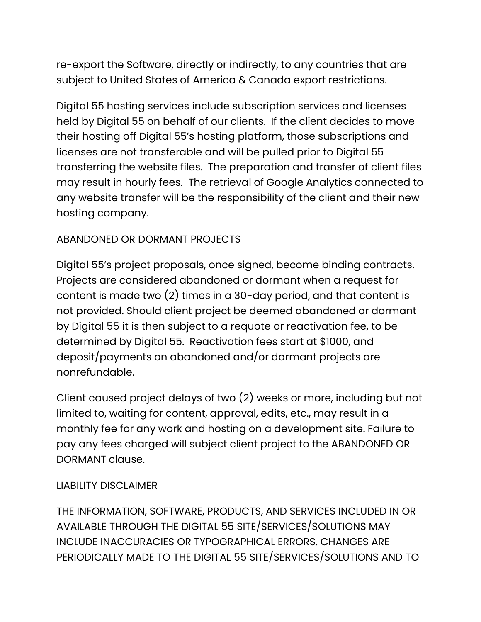re-export the Software, directly or indirectly, to any countries that are subject to United States of America & Canada export restrictions.

Digital 55 hosting services include subscription services and licenses held by Digital 55 on behalf of our clients. If the client decides to move their hosting off Digital 55's hosting platform, those subscriptions and licenses are not transferable and will be pulled prior to Digital 55 transferring the website files. The preparation and transfer of client files may result in hourly fees. The retrieval of Google Analytics connected to any website transfer will be the responsibility of the client and their new hosting company.

## ABANDONED OR DORMANT PROJECTS

Digital 55's project proposals, once signed, become binding contracts. Projects are considered abandoned or dormant when a request for content is made two (2) times in a 30-day period, and that content is not provided. Should client project be deemed abandoned or dormant by Digital 55 it is then subject to a requote or reactivation fee, to be determined by Digital 55. Reactivation fees start at \$1000, and deposit/payments on abandoned and/or dormant projects are nonrefundable.

Client caused project delays of two (2) weeks or more, including but not limited to, waiting for content, approval, edits, etc., may result in a monthly fee for any work and hosting on a development site. Failure to pay any fees charged will subject client project to the ABANDONED OR DORMANT clause.

#### LIABILITY DISCLAIMER

THE INFORMATION, SOFTWARE, PRODUCTS, AND SERVICES INCLUDED IN OR AVAILABLE THROUGH THE DIGITAL 55 SITE/SERVICES/SOLUTIONS MAY INCLUDE INACCURACIES OR TYPOGRAPHICAL ERRORS. CHANGES ARE PERIODICALLY MADE TO THE DIGITAL 55 SITE/SERVICES/SOLUTIONS AND TO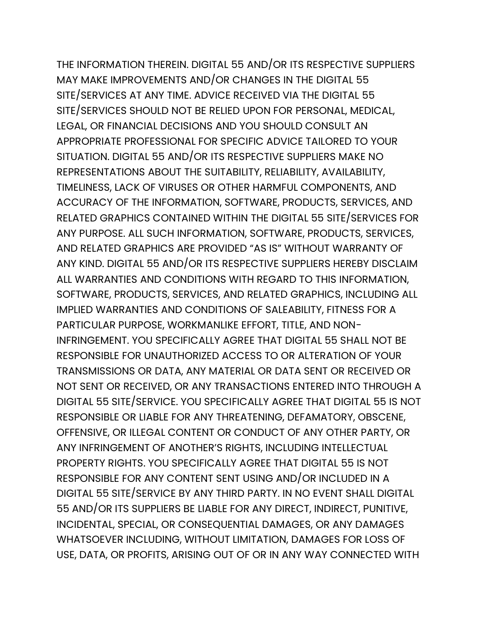THE INFORMATION THEREIN. DIGITAL 55 AND/OR ITS RESPECTIVE SUPPLIERS MAY MAKE IMPROVEMENTS AND/OR CHANGES IN THE DIGITAL 55 SITE/SERVICES AT ANY TIME. ADVICE RECEIVED VIA THE DIGITAL 55 SITE/SERVICES SHOULD NOT BE RELIED UPON FOR PERSONAL, MEDICAL, LEGAL, OR FINANCIAL DECISIONS AND YOU SHOULD CONSULT AN APPROPRIATE PROFESSIONAL FOR SPECIFIC ADVICE TAILORED TO YOUR SITUATION. DIGITAL 55 AND/OR ITS RESPECTIVE SUPPLIERS MAKE NO REPRESENTATIONS ABOUT THE SUITABILITY, RELIABILITY, AVAILABILITY, TIMELINESS, LACK OF VIRUSES OR OTHER HARMFUL COMPONENTS, AND ACCURACY OF THE INFORMATION, SOFTWARE, PRODUCTS, SERVICES, AND RELATED GRAPHICS CONTAINED WITHIN THE DIGITAL 55 SITE/SERVICES FOR ANY PURPOSE. ALL SUCH INFORMATION, SOFTWARE, PRODUCTS, SERVICES, AND RELATED GRAPHICS ARE PROVIDED "AS IS" WITHOUT WARRANTY OF ANY KIND. DIGITAL 55 AND/OR ITS RESPECTIVE SUPPLIERS HEREBY DISCLAIM ALL WARRANTIES AND CONDITIONS WITH REGARD TO THIS INFORMATION, SOFTWARE, PRODUCTS, SERVICES, AND RELATED GRAPHICS, INCLUDING ALL IMPLIED WARRANTIES AND CONDITIONS OF SALEABILITY, FITNESS FOR A PARTICULAR PURPOSE, WORKMANLIKE EFFORT, TITLE, AND NON-INFRINGEMENT. YOU SPECIFICALLY AGREE THAT DIGITAL 55 SHALL NOT BE RESPONSIBLE FOR UNAUTHORIZED ACCESS TO OR ALTERATION OF YOUR TRANSMISSIONS OR DATA, ANY MATERIAL OR DATA SENT OR RECEIVED OR NOT SENT OR RECEIVED, OR ANY TRANSACTIONS ENTERED INTO THROUGH A DIGITAL 55 SITE/SERVICE. YOU SPECIFICALLY AGREE THAT DIGITAL 55 IS NOT RESPONSIBLE OR LIABLE FOR ANY THREATENING, DEFAMATORY, OBSCENE, OFFENSIVE, OR ILLEGAL CONTENT OR CONDUCT OF ANY OTHER PARTY, OR ANY INFRINGEMENT OF ANOTHER'S RIGHTS, INCLUDING INTELLECTUAL PROPERTY RIGHTS. YOU SPECIFICALLY AGREE THAT DIGITAL 55 IS NOT RESPONSIBLE FOR ANY CONTENT SENT USING AND/OR INCLUDED IN A DIGITAL 55 SITE/SERVICE BY ANY THIRD PARTY. IN NO EVENT SHALL DIGITAL 55 AND/OR ITS SUPPLIERS BE LIABLE FOR ANY DIRECT, INDIRECT, PUNITIVE, INCIDENTAL, SPECIAL, OR CONSEQUENTIAL DAMAGES, OR ANY DAMAGES WHATSOEVER INCLUDING, WITHOUT LIMITATION, DAMAGES FOR LOSS OF USE, DATA, OR PROFITS, ARISING OUT OF OR IN ANY WAY CONNECTED WITH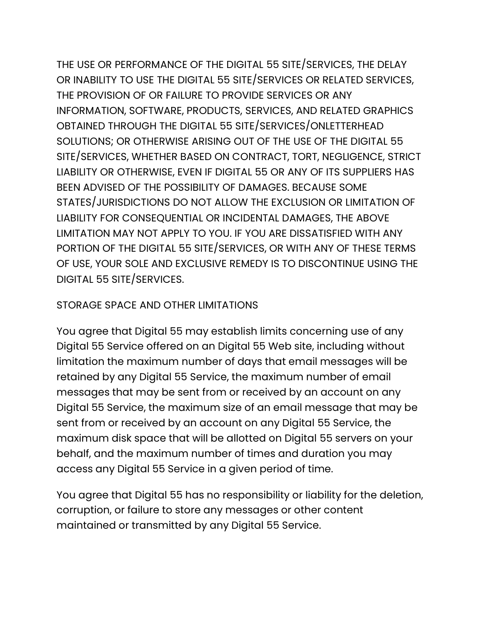THE USE OR PERFORMANCE OF THE DIGITAL 55 SITE/SERVICES, THE DELAY OR INABILITY TO USE THE DIGITAL 55 SITE/SERVICES OR RELATED SERVICES, THE PROVISION OF OR FAILURE TO PROVIDE SERVICES OR ANY INFORMATION, SOFTWARE, PRODUCTS, SERVICES, AND RELATED GRAPHICS OBTAINED THROUGH THE DIGITAL 55 SITE/SERVICES/ONLETTERHEAD SOLUTIONS; OR OTHERWISE ARISING OUT OF THE USE OF THE DIGITAL 55 SITE/SERVICES, WHETHER BASED ON CONTRACT, TORT, NEGLIGENCE, STRICT LIABILITY OR OTHERWISE, EVEN IF DIGITAL 55 OR ANY OF ITS SUPPLIERS HAS BEEN ADVISED OF THE POSSIBILITY OF DAMAGES. BECAUSE SOME STATES/JURISDICTIONS DO NOT ALLOW THE EXCLUSION OR LIMITATION OF LIABILITY FOR CONSEQUENTIAL OR INCIDENTAL DAMAGES, THE ABOVE LIMITATION MAY NOT APPLY TO YOU. IF YOU ARE DISSATISFIED WITH ANY PORTION OF THE DIGITAL 55 SITE/SERVICES, OR WITH ANY OF THESE TERMS OF USE, YOUR SOLE AND EXCLUSIVE REMEDY IS TO DISCONTINUE USING THE DIGITAL 55 SITE/SERVICES.

#### STORAGE SPACE AND OTHER LIMITATIONS

You agree that Digital 55 may establish limits concerning use of any Digital 55 Service offered on an Digital 55 Web site, including without limitation the maximum number of days that email messages will be retained by any Digital 55 Service, the maximum number of email messages that may be sent from or received by an account on any Digital 55 Service, the maximum size of an email message that may be sent from or received by an account on any Digital 55 Service, the maximum disk space that will be allotted on Digital 55 servers on your behalf, and the maximum number of times and duration you may access any Digital 55 Service in a given period of time.

You agree that Digital 55 has no responsibility or liability for the deletion, corruption, or failure to store any messages or other content maintained or transmitted by any Digital 55 Service.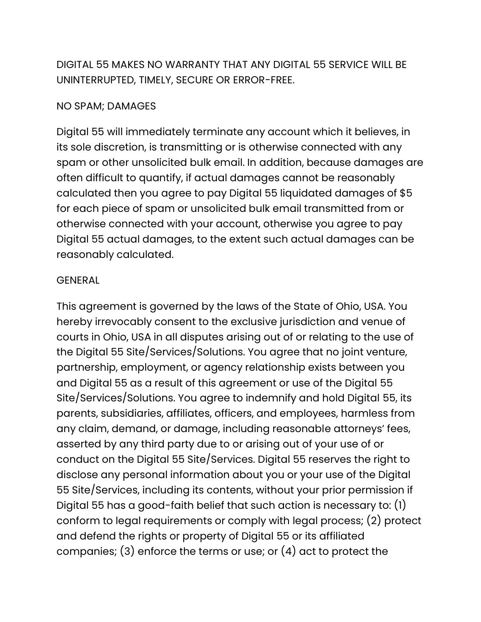DIGITAL 55 MAKES NO WARRANTY THAT ANY DIGITAL 55 SERVICE WILL BE UNINTERRUPTED, TIMELY, SECURE OR ERROR-FREE.

#### NO SPAM; DAMAGES

Digital 55 will immediately terminate any account which it believes, in its sole discretion, is transmitting or is otherwise connected with any spam or other unsolicited bulk email. In addition, because damages are often difficult to quantify, if actual damages cannot be reasonably calculated then you agree to pay Digital 55 liquidated damages of \$5 for each piece of spam or unsolicited bulk email transmitted from or otherwise connected with your account, otherwise you agree to pay Digital 55 actual damages, to the extent such actual damages can be reasonably calculated.

#### **GENERAL**

This agreement is governed by the laws of the State of Ohio, USA. You hereby irrevocably consent to the exclusive jurisdiction and venue of courts in Ohio, USA in all disputes arising out of or relating to the use of the Digital 55 Site/Services/Solutions. You agree that no joint venture, partnership, employment, or agency relationship exists between you and Digital 55 as a result of this agreement or use of the Digital 55 Site/Services/Solutions. You agree to indemnify and hold Digital 55, its parents, subsidiaries, affiliates, officers, and employees, harmless from any claim, demand, or damage, including reasonable attorneys' fees, asserted by any third party due to or arising out of your use of or conduct on the Digital 55 Site/Services. Digital 55 reserves the right to disclose any personal information about you or your use of the Digital 55 Site/Services, including its contents, without your prior permission if Digital 55 has a good-faith belief that such action is necessary to: (1) conform to legal requirements or comply with legal process; (2) protect and defend the rights or property of Digital 55 or its affiliated companies; (3) enforce the terms or use; or (4) act to protect the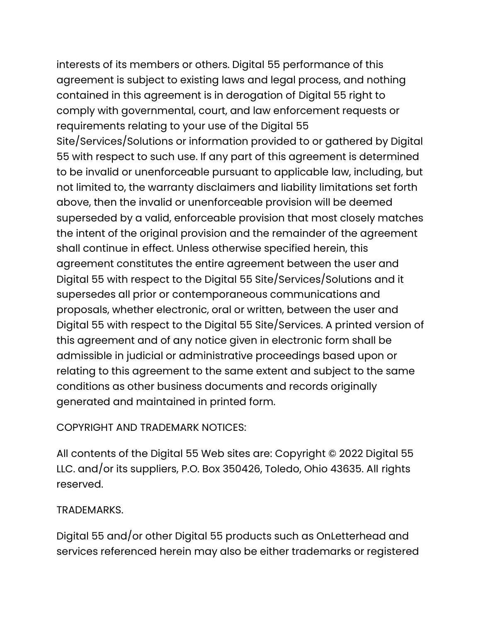interests of its members or others. Digital 55 performance of this agreement is subject to existing laws and legal process, and nothing contained in this agreement is in derogation of Digital 55 right to comply with governmental, court, and law enforcement requests or requirements relating to your use of the Digital 55 Site/Services/Solutions or information provided to or gathered by Digital 55 with respect to such use. If any part of this agreement is determined to be invalid or unenforceable pursuant to applicable law, including, but not limited to, the warranty disclaimers and liability limitations set forth above, then the invalid or unenforceable provision will be deemed superseded by a valid, enforceable provision that most closely matches the intent of the original provision and the remainder of the agreement shall continue in effect. Unless otherwise specified herein, this agreement constitutes the entire agreement between the user and Digital 55 with respect to the Digital 55 Site/Services/Solutions and it supersedes all prior or contemporaneous communications and proposals, whether electronic, oral or written, between the user and Digital 55 with respect to the Digital 55 Site/Services. A printed version of this agreement and of any notice given in electronic form shall be admissible in judicial or administrative proceedings based upon or relating to this agreement to the same extent and subject to the same conditions as other business documents and records originally generated and maintained in printed form.

## COPYRIGHT AND TRADEMARK NOTICES:

All contents of the Digital 55 Web sites are: Copyright © 2022 Digital 55 LLC. and/or its suppliers, P.O. Box 350426, Toledo, Ohio 43635. All rights reserved.

## TRADEMARKS.

Digital 55 and/or other Digital 55 products such as OnLetterhead and services referenced herein may also be either trademarks or registered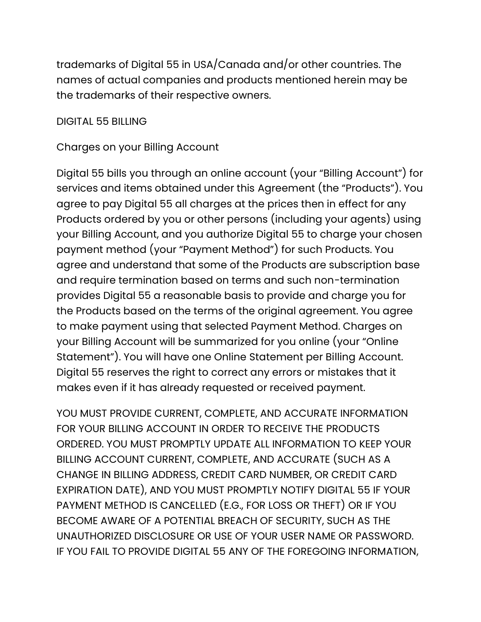trademarks of Digital 55 in USA/Canada and/or other countries. The names of actual companies and products mentioned herein may be the trademarks of their respective owners.

DIGITAL 55 BILLING

Charges on your Billing Account

Digital 55 bills you through an online account (your "Billing Account") for services and items obtained under this Agreement (the "Products"). You agree to pay Digital 55 all charges at the prices then in effect for any Products ordered by you or other persons (including your agents) using your Billing Account, and you authorize Digital 55 to charge your chosen payment method (your "Payment Method") for such Products. You agree and understand that some of the Products are subscription base and require termination based on terms and such non-termination provides Digital 55 a reasonable basis to provide and charge you for the Products based on the terms of the original agreement. You agree to make payment using that selected Payment Method. Charges on your Billing Account will be summarized for you online (your "Online Statement"). You will have one Online Statement per Billing Account. Digital 55 reserves the right to correct any errors or mistakes that it makes even if it has already requested or received payment.

YOU MUST PROVIDE CURRENT, COMPLETE, AND ACCURATE INFORMATION FOR YOUR BILLING ACCOUNT IN ORDER TO RECEIVE THE PRODUCTS ORDERED. YOU MUST PROMPTLY UPDATE ALL INFORMATION TO KEEP YOUR BILLING ACCOUNT CURRENT, COMPLETE, AND ACCURATE (SUCH AS A CHANGE IN BILLING ADDRESS, CREDIT CARD NUMBER, OR CREDIT CARD EXPIRATION DATE), AND YOU MUST PROMPTLY NOTIFY DIGITAL 55 IF YOUR PAYMENT METHOD IS CANCELLED (E.G., FOR LOSS OR THEFT) OR IF YOU BECOME AWARE OF A POTENTIAL BREACH OF SECURITY, SUCH AS THE UNAUTHORIZED DISCLOSURE OR USE OF YOUR USER NAME OR PASSWORD. IF YOU FAIL TO PROVIDE DIGITAL 55 ANY OF THE FOREGOING INFORMATION,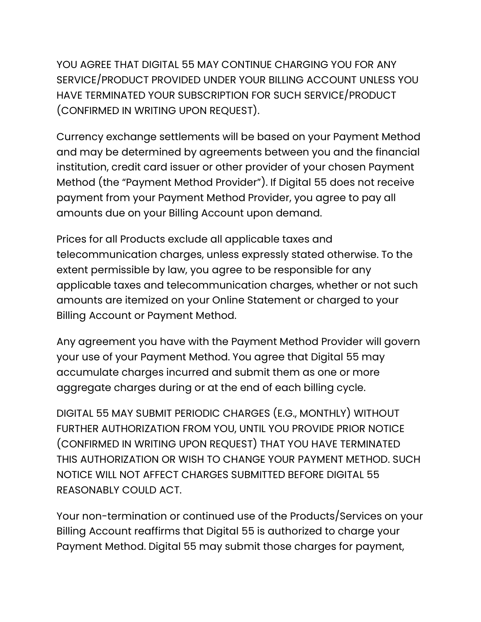YOU AGREE THAT DIGITAL 55 MAY CONTINUE CHARGING YOU FOR ANY SERVICE/PRODUCT PROVIDED UNDER YOUR BILLING ACCOUNT UNLESS YOU HAVE TERMINATED YOUR SUBSCRIPTION FOR SUCH SERVICE/PRODUCT (CONFIRMED IN WRITING UPON REQUEST).

Currency exchange settlements will be based on your Payment Method and may be determined by agreements between you and the financial institution, credit card issuer or other provider of your chosen Payment Method (the "Payment Method Provider"). If Digital 55 does not receive payment from your Payment Method Provider, you agree to pay all amounts due on your Billing Account upon demand.

Prices for all Products exclude all applicable taxes and telecommunication charges, unless expressly stated otherwise. To the extent permissible by law, you agree to be responsible for any applicable taxes and telecommunication charges, whether or not such amounts are itemized on your Online Statement or charged to your Billing Account or Payment Method.

Any agreement you have with the Payment Method Provider will govern your use of your Payment Method. You agree that Digital 55 may accumulate charges incurred and submit them as one or more aggregate charges during or at the end of each billing cycle.

DIGITAL 55 MAY SUBMIT PERIODIC CHARGES (E.G., MONTHLY) WITHOUT FURTHER AUTHORIZATION FROM YOU, UNTIL YOU PROVIDE PRIOR NOTICE (CONFIRMED IN WRITING UPON REQUEST) THAT YOU HAVE TERMINATED THIS AUTHORIZATION OR WISH TO CHANGE YOUR PAYMENT METHOD. SUCH NOTICE WILL NOT AFFECT CHARGES SUBMITTED BEFORE DIGITAL 55 REASONABLY COULD ACT.

Your non-termination or continued use of the Products/Services on your Billing Account reaffirms that Digital 55 is authorized to charge your Payment Method. Digital 55 may submit those charges for payment,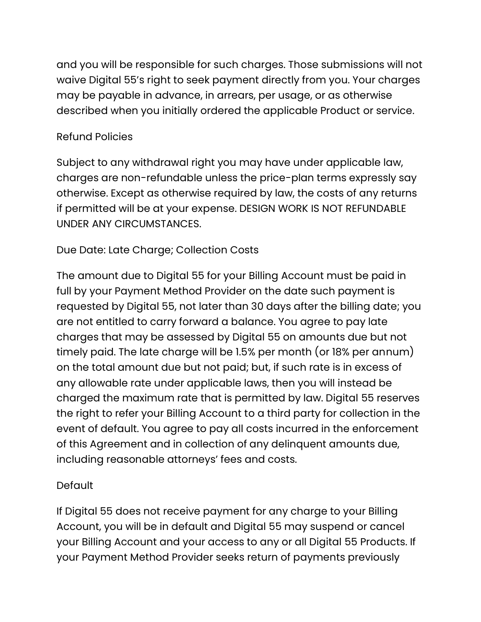and you will be responsible for such charges. Those submissions will not waive Digital 55's right to seek payment directly from you. Your charges may be payable in advance, in arrears, per usage, or as otherwise described when you initially ordered the applicable Product or service.

## Refund Policies

Subject to any withdrawal right you may have under applicable law, charges are non-refundable unless the price-plan terms expressly say otherwise. Except as otherwise required by law, the costs of any returns if permitted will be at your expense. DESIGN WORK IS NOT REFUNDABLE UNDER ANY CIRCUMSTANCES.

## Due Date: Late Charge; Collection Costs

The amount due to Digital 55 for your Billing Account must be paid in full by your Payment Method Provider on the date such payment is requested by Digital 55, not later than 30 days after the billing date; you are not entitled to carry forward a balance. You agree to pay late charges that may be assessed by Digital 55 on amounts due but not timely paid. The late charge will be 1.5% per month (or 18% per annum) on the total amount due but not paid; but, if such rate is in excess of any allowable rate under applicable laws, then you will instead be charged the maximum rate that is permitted by law. Digital 55 reserves the right to refer your Billing Account to a third party for collection in the event of default. You agree to pay all costs incurred in the enforcement of this Agreement and in collection of any delinquent amounts due, including reasonable attorneys' fees and costs.

## Default

If Digital 55 does not receive payment for any charge to your Billing Account, you will be in default and Digital 55 may suspend or cancel your Billing Account and your access to any or all Digital 55 Products. If your Payment Method Provider seeks return of payments previously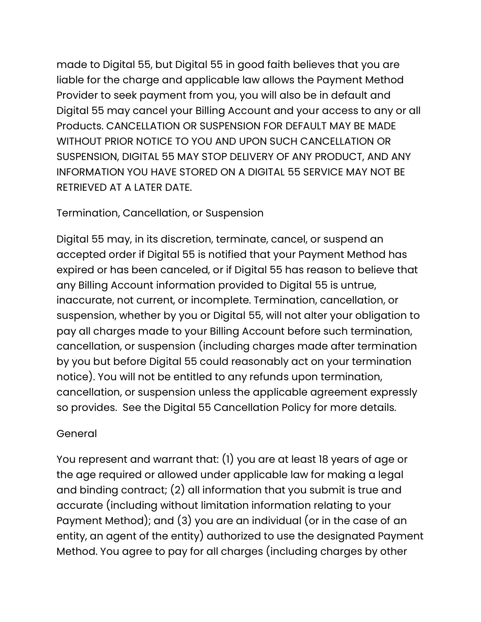made to Digital 55, but Digital 55 in good faith believes that you are liable for the charge and applicable law allows the Payment Method Provider to seek payment from you, you will also be in default and Digital 55 may cancel your Billing Account and your access to any or all Products. CANCELLATION OR SUSPENSION FOR DEFAULT MAY BE MADE WITHOUT PRIOR NOTICE TO YOU AND UPON SUCH CANCELLATION OR SUSPENSION, DIGITAL 55 MAY STOP DELIVERY OF ANY PRODUCT, AND ANY INFORMATION YOU HAVE STORED ON A DIGITAL 55 SERVICE MAY NOT BE RETRIEVED AT A LATER DATE.

#### Termination, Cancellation, or Suspension

Digital 55 may, in its discretion, terminate, cancel, or suspend an accepted order if Digital 55 is notified that your Payment Method has expired or has been canceled, or if Digital 55 has reason to believe that any Billing Account information provided to Digital 55 is untrue, inaccurate, not current, or incomplete. Termination, cancellation, or suspension, whether by you or Digital 55, will not alter your obligation to pay all charges made to your Billing Account before such termination, cancellation, or suspension (including charges made after termination by you but before Digital 55 could reasonably act on your termination notice). You will not be entitled to any refunds upon termination, cancellation, or suspension unless the applicable agreement expressly so provides. See the Digital 55 Cancellation Policy for more details.

#### General

You represent and warrant that: (1) you are at least 18 years of age or the age required or allowed under applicable law for making a legal and binding contract; (2) all information that you submit is true and accurate (including without limitation information relating to your Payment Method); and (3) you are an individual (or in the case of an entity, an agent of the entity) authorized to use the designated Payment Method. You agree to pay for all charges (including charges by other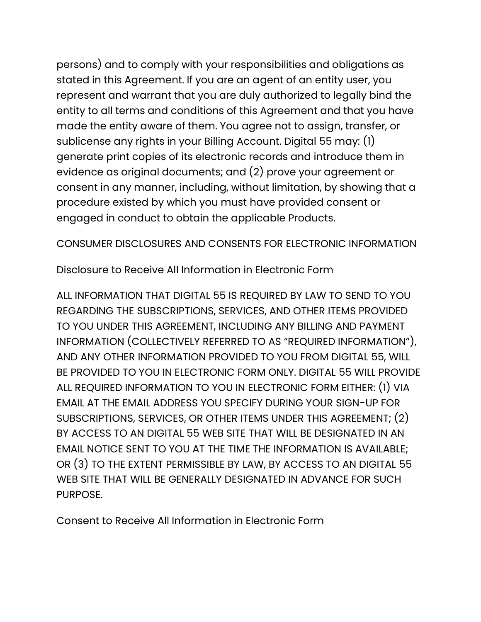persons) and to comply with your responsibilities and obligations as stated in this Agreement. If you are an agent of an entity user, you represent and warrant that you are duly authorized to legally bind the entity to all terms and conditions of this Agreement and that you have made the entity aware of them. You agree not to assign, transfer, or sublicense any rights in your Billing Account. Digital 55 may: (1) generate print copies of its electronic records and introduce them in evidence as original documents; and (2) prove your agreement or consent in any manner, including, without limitation, by showing that a procedure existed by which you must have provided consent or engaged in conduct to obtain the applicable Products.

CONSUMER DISCLOSURES AND CONSENTS FOR ELECTRONIC INFORMATION

Disclosure to Receive All Information in Electronic Form

ALL INFORMATION THAT DIGITAL 55 IS REQUIRED BY LAW TO SEND TO YOU REGARDING THE SUBSCRIPTIONS, SERVICES, AND OTHER ITEMS PROVIDED TO YOU UNDER THIS AGREEMENT, INCLUDING ANY BILLING AND PAYMENT INFORMATION (COLLECTIVELY REFERRED TO AS "REQUIRED INFORMATION"), AND ANY OTHER INFORMATION PROVIDED TO YOU FROM DIGITAL 55, WILL BE PROVIDED TO YOU IN ELECTRONIC FORM ONLY. DIGITAL 55 WILL PROVIDE ALL REQUIRED INFORMATION TO YOU IN ELECTRONIC FORM EITHER: (1) VIA EMAIL AT THE EMAIL ADDRESS YOU SPECIFY DURING YOUR SIGN-UP FOR SUBSCRIPTIONS, SERVICES, OR OTHER ITEMS UNDER THIS AGREEMENT; (2) BY ACCESS TO AN DIGITAL 55 WEB SITE THAT WILL BE DESIGNATED IN AN EMAIL NOTICE SENT TO YOU AT THE TIME THE INFORMATION IS AVAILABLE; OR (3) TO THE EXTENT PERMISSIBLE BY LAW, BY ACCESS TO AN DIGITAL 55 WEB SITE THAT WILL BE GENERALLY DESIGNATED IN ADVANCE FOR SUCH PURPOSE.

Consent to Receive All Information in Electronic Form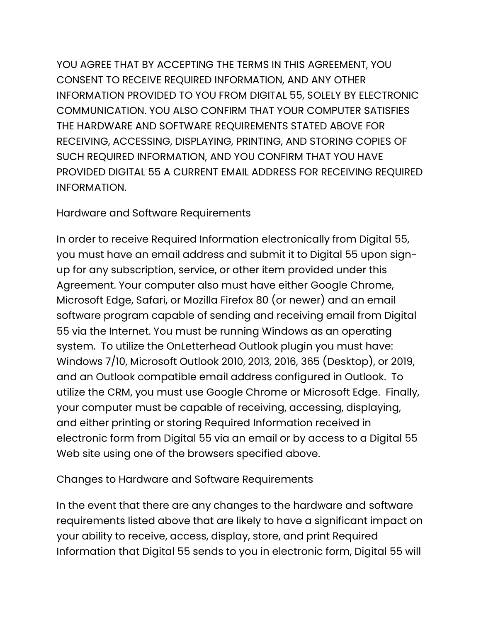YOU AGREE THAT BY ACCEPTING THE TERMS IN THIS AGREEMENT, YOU CONSENT TO RECEIVE REQUIRED INFORMATION, AND ANY OTHER INFORMATION PROVIDED TO YOU FROM DIGITAL 55, SOLELY BY ELECTRONIC COMMUNICATION. YOU ALSO CONFIRM THAT YOUR COMPUTER SATISFIES THE HARDWARE AND SOFTWARE REQUIREMENTS STATED ABOVE FOR RECEIVING, ACCESSING, DISPLAYING, PRINTING, AND STORING COPIES OF SUCH REQUIRED INFORMATION, AND YOU CONFIRM THAT YOU HAVE PROVIDED DIGITAL 55 A CURRENT EMAIL ADDRESS FOR RECEIVING REQUIRED INFORMATION.

Hardware and Software Requirements

In order to receive Required Information electronically from Digital 55, you must have an email address and submit it to Digital 55 upon signup for any subscription, service, or other item provided under this Agreement. Your computer also must have either Google Chrome, Microsoft Edge, Safari, or Mozilla Firefox 80 (or newer) and an email software program capable of sending and receiving email from Digital 55 via the Internet. You must be running Windows as an operating system. To utilize the OnLetterhead Outlook plugin you must have: Windows 7/10, Microsoft Outlook 2010, 2013, 2016, 365 (Desktop), or 2019, and an Outlook compatible email address configured in Outlook. To utilize the CRM, you must use Google Chrome or Microsoft Edge. Finally, your computer must be capable of receiving, accessing, displaying, and either printing or storing Required Information received in electronic form from Digital 55 via an email or by access to a Digital 55 Web site using one of the browsers specified above.

Changes to Hardware and Software Requirements

In the event that there are any changes to the hardware and software requirements listed above that are likely to have a significant impact on your ability to receive, access, display, store, and print Required Information that Digital 55 sends to you in electronic form, Digital 55 will